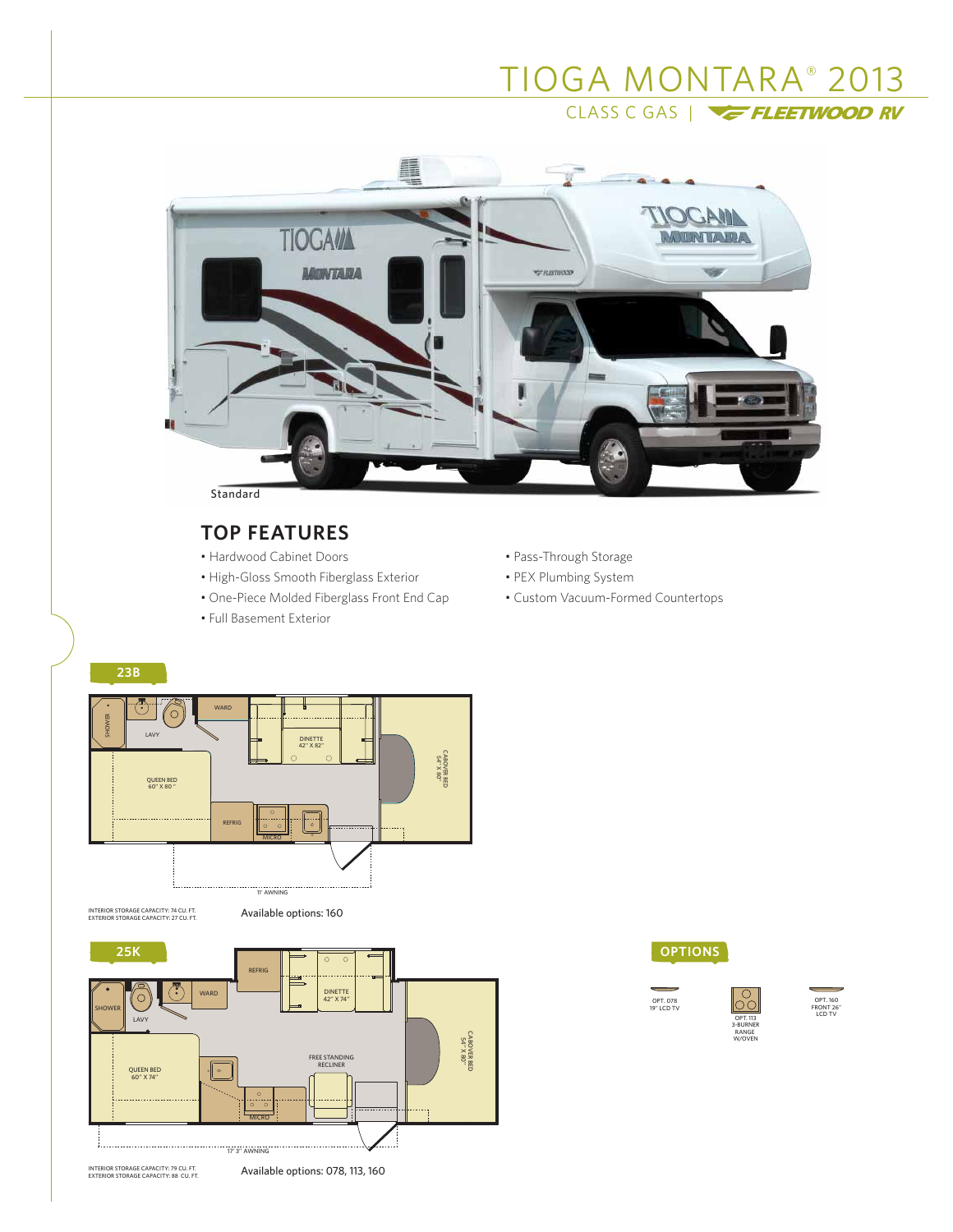# TIOGA MONTARA® 2013 CLASS C GAS |



## **TOP FEATURES**

- Hardwood Cabinet Doors
- High-Gloss Smooth Fiberglass Exterior
- One-Piece Molded Fiberglass Front End Cap
- Full Basement Exterior
- Pass-Through Storage
- PEX Plumbing System
- Custom Vacuum-Formed Countertops

## **23B**



INTERIOR STORAGE CAPACITY: 74 CU. FT. **AND AVAILADIE OPTIONS: 160** 





OPT. 078 19" LCD TV



OPT. 160 FRONT 26" LCD TV